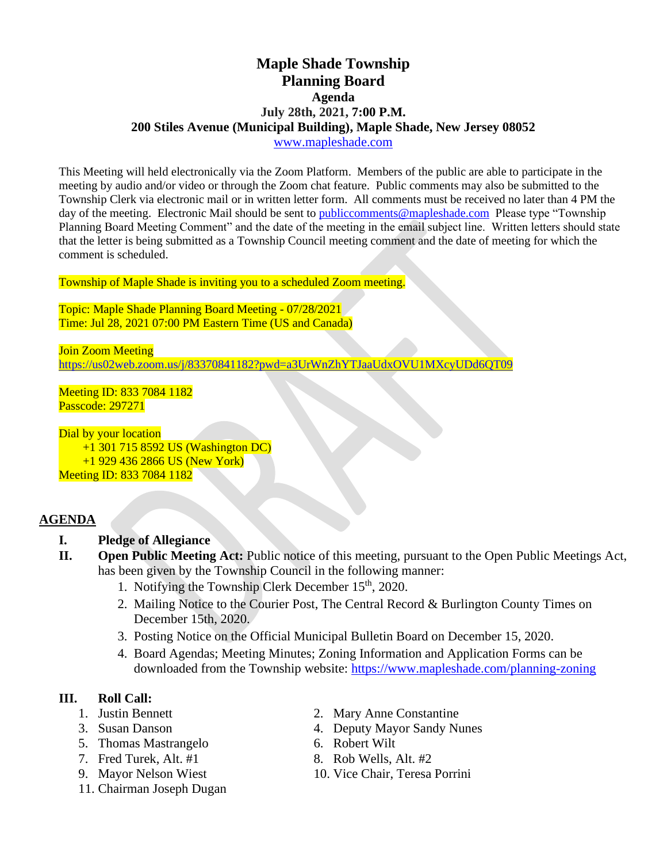# **Maple Shade Township Planning Board Agenda July 28th, 2021, 7:00 P.M. 200 Stiles Avenue (Municipal Building), Maple Shade, New Jersey 08052** [www.mapleshade.com](http://www.mapleshade.com/)

This Meeting will held electronically via the Zoom Platform. Members of the public are able to participate in the meeting by audio and/or video or through the Zoom chat feature. Public comments may also be submitted to the Township Clerk via electronic mail or in written letter form. All comments must be received no later than 4 PM the day of the meeting. Electronic Mail should be sent to [publiccomments@mapleshade.com](mailto:publiccomments@mapleshade.com) Please type "Township" Planning Board Meeting Comment" and the date of the meeting in the email subject line. Written letters should state that the letter is being submitted as a Township Council meeting comment and the date of meeting for which the comment is scheduled.

Township of Maple Shade is inviting you to a scheduled Zoom meeting.

Topic: Maple Shade Planning Board Meeting - 07/28/2021 Time: Jul 28, 2021 07:00 PM Eastern Time (US and Canada)

Join Zoom Meeting <https://us02web.zoom.us/j/83370841182?pwd=a3UrWnZhYTJaaUdxOVU1MXcyUDd6QT09>

Meeting ID: 833 7084 1182 Passcode: 297271

Dial by your location +1 301 715 8592 US (Washington DC) +1 929 436 2866 US (New York) Meeting ID: 833 7084 1182

#### **AGENDA**

- **I. Pledge of Allegiance**
- **II. Open Public Meeting Act:** Public notice of this meeting, pursuant to the Open Public Meetings Act, has been given by the Township Council in the following manner:
	- 1. Notifying the Township Clerk December  $15<sup>th</sup>$ , 2020.
	- 2. Mailing Notice to the Courier Post, The Central Record & Burlington County Times on December 15th, 2020.
	- 3. Posting Notice on the Official Municipal Bulletin Board on December 15, 2020.
	- 4. Board Agendas; Meeting Minutes; Zoning Information and Application Forms can be downloaded from the Township website:<https://www.mapleshade.com/planning-zoning>

# **III. Roll Call:**

- 
- 
- 5. Thomas Mastrangelo 6. Robert Wilt
- 7. Fred Turek, Alt.  $#1$  8. Rob Wells, Alt.  $#2$
- 
- 11. Chairman Joseph Dugan
- 1. Justin Bennett 2. Mary Anne Constantine
- 3. Susan Danson 4. Deputy Mayor Sandy Nunes
	-
	-
- 9. Mayor Nelson Wiest 10. Vice Chair, Teresa Porrini